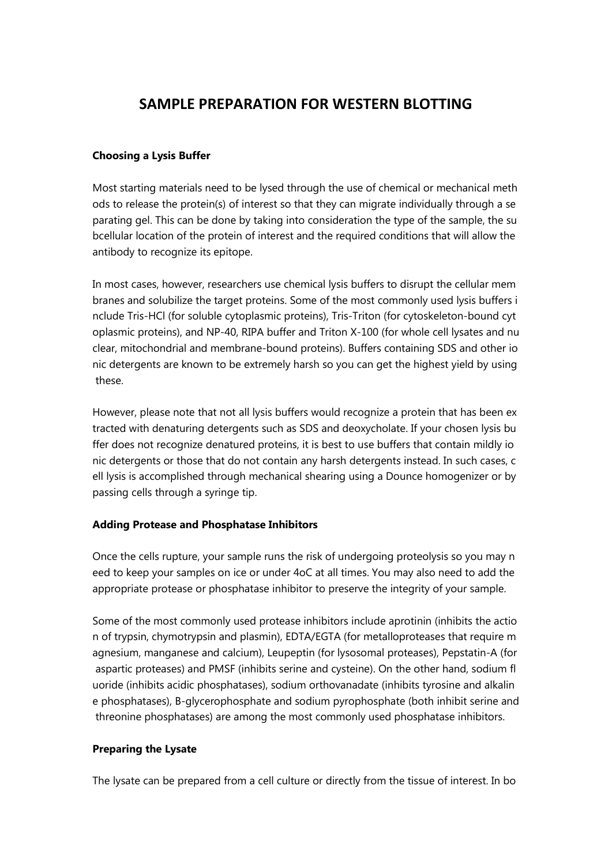## **SAMPLE PREPARATION FOR WESTERN BLOTTING**

## **Choosing a Lysis Buffer**

Most starting materials need to be lysed through the use of chemical or mechanical meth ods to release the protein(s) of interest so that they can migrate individually through a se parating gel. This can be done by taking into consideration the type of the sample, the su bcellular location of the protein of interest and the required conditions that will allow the antibody to recognize its epitope.

In most cases, however, researchers use chemical lysis buffers to disrupt the cellular mem branes and solubilize the target proteins. Some of the most commonly used lysis buffers i nclude Tris-HCl (for soluble cytoplasmic proteins), Tris-Triton (for cytoskeleton-bound cyt oplasmic proteins), and NP-40, RIPA buffer and Triton X-100 (for whole cell lysates and nu clear, mitochondrial and membrane-bound proteins). Buffers containing SDS and other io nic detergents are known to be extremely harsh so you can get the highest yield by using these.

However, please note that not all lysis buffers would recognize a protein that has been ex tracted with denaturing detergents such as SDS and deoxycholate. If your chosen lysis bu ffer does not recognize denatured proteins, it is best to use buffers that contain mildly io nic detergents or those that do not contain any harsh detergents instead. In such cases, c ell lysis is accomplished through mechanical shearing using a Dounce homogenizer or by passing cells through a syringe tip.

## **Adding Protease and Phosphatase Inhibitors**

Once the cells rupture, your sample runs the risk of undergoing proteolysis so you may n eed to keep your samples on ice or under 4oC at all times. You may also need to add the appropriate protease or phosphatase inhibitor to preserve the integrity of your sample.

Some of the most commonly used protease inhibitors include aprotinin (inhibits the actio n of trypsin, chymotrypsin and plasmin), EDTA/EGTA (for metalloproteases that require m agnesium, manganese and calcium), Leupeptin (for lysosomal proteases), Pepstatin-A (for aspartic proteases) and PMSF (inhibits serine and cysteine). On the other hand, sodium fl uoride (inhibits acidic phosphatases), sodium orthovanadate (inhibits tyrosine and alkalin e phosphatases), B-glycerophosphate and sodium pyrophosphate (both inhibit serine and threonine phosphatases) are among the most commonly used phosphatase inhibitors.

## **Preparing the Lysate**

The lysate can be prepared from a cell culture or directly from the tissue of interest. In bo